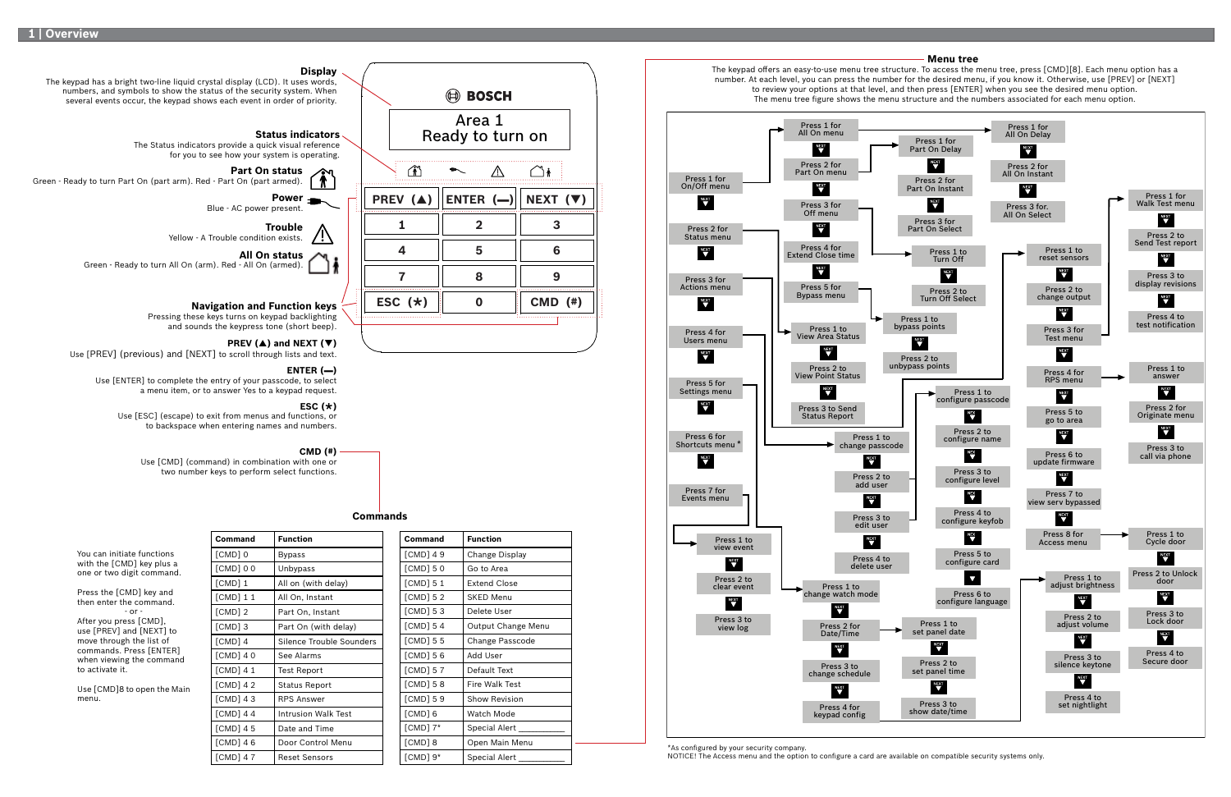Area 1 **Status indicators** Ready to turn on The Status indicators provide a quick visual reference for you to see how your system is operating.  $\mathbf{r}$  $\overline{\phantom{a}}$ ⚠  $\bigcirc$  i **PREV () ENTER (**▬**) NEXT () 1 2 3 4 5 6 7 8 9 ESC**  $(\star)$  **|| 0** || **CMD** (#) **0**

**ED BOSCH** 

**Display**

The keypad has a bright two-line liquid crystal display (LCD). It uses words, numbers, and symbols to show the status of the security system. When several events occur, the keypad shows each event in order of priority.

NOTICE! The Access menu and the option to configure a card are available on compatible security systems only.

**Part On status**

Green - Ready to turn Part On (part arm). Red - Part On (part armed).

**Power**

Blue - AC power present.

**Trouble**

# Yellow - A Trouble condition exists. **All On status**

Green - Ready to turn All On (arm). Red - All On (armed).

#### **Navigation and Function keys**

Pressing these keys turns on keypad backlighting and sounds the keypress tone (short beep).

### **PREV** ( $\triangle$ ) and **NEXT** ( $\nabla$ )

**Command Function**



| Command      | <b>Function</b>      |
|--------------|----------------------|
| $[CMD]$ 49   | Change Display       |
| $[CMD]$ 5 0  | Go to Area           |
| $[CMD]$ 5 1  | <b>Extend Close</b>  |
| $[CMD]$ 5 2  | <b>SKED Menu</b>     |
| $[CMD]$ 53   | Delete User          |
| $[CMD]$ 54   | Output Change Menu   |
| $[CMD]$ 5 5  | Change Passcode      |
| $[CMD]$ 56   | Add User             |
| $[CMD]$ 57   | Default Text         |
| $[CMD]$ 5 8  | Fire Walk Test       |
| $[CMD]$ 59   | <b>Show Revision</b> |
| [CMD] 6      | Watch Mode           |
| $[CMD]$ $7*$ | <b>Special Alert</b> |
| [CMD] 8      | Open Main Menu       |
| [CMD] 9*     | Special Alert        |

Use [PREV] (previous) and [NEXT] to scroll through lists and text.

#### **ESC (**Ø**)**

Use [ESC] (escape) to exit from menus and functions, or to backspace when entering names and numbers.

#### **ENTER (**▬**)**

Use [ENTER] to complete the entry of your passcode, to select a menu item, or to answer Yes to a keypad request.

#### **CMD (#)**

Use [CMD] (command) in combination with one or two number keys to perform select functions.

#### **Commands**

You can initiate functions with the [CMD] key plus a one or two digit command.

Press the [CMD] key and then enter the command.  $-$  or  $-$ After you press [CMD],

use [PREV] and [NEXT] to move through the list of commands. Press [ENTER] when viewing the command to activate it.

Use [CMD]8 to open the Main menu.